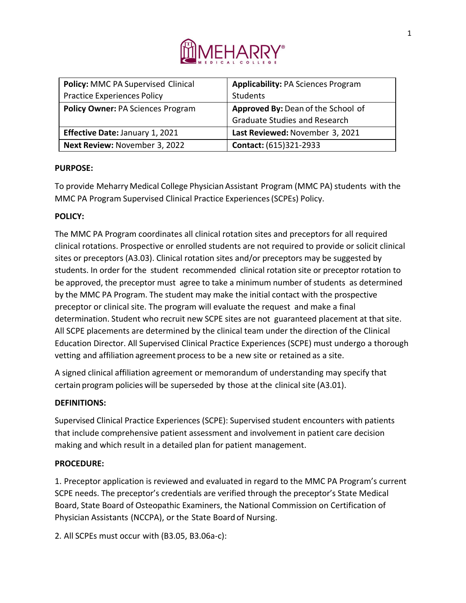

| <b>Policy: MMC PA Supervised Clinical</b> | <b>Applicability: PA Sciences Program</b> |
|-------------------------------------------|-------------------------------------------|
| <b>Practice Experiences Policy</b>        | Students                                  |
| <b>Policy Owner: PA Sciences Program</b>  | Approved By: Dean of the School of        |
|                                           | <b>Graduate Studies and Research</b>      |
| <b>Effective Date: January 1, 2021</b>    | Last Reviewed: November 3, 2021           |
| Next Review: November 3, 2022             | Contact: (615)321-2933                    |

## **PURPOSE:**

To provide Meharry Medical College Physician Assistant Program (MMC PA) students with the MMC PA Program Supervised Clinical Practice Experiences(SCPEs) Policy.

## **POLICY:**

The MMC PA Program coordinates all clinical rotation sites and preceptors for all required clinical rotations. Prospective or enrolled students are not required to provide or solicit clinical sites or preceptors (A3.03). Clinical rotation sites and/or preceptors may be suggested by students. In order for the student recommended clinical rotation site or preceptor rotation to be approved, the preceptor must agree to take a minimum number of students as determined by the MMC PA Program. The student may make the initial contact with the prospective preceptor or clinical site. The program will evaluate the request and make a final determination. Student who recruit new SCPE sites are not guaranteed placement at that site. All SCPE placements are determined by the clinical team under the direction of the Clinical Education Director. All Supervised Clinical Practice Experiences (SCPE) must undergo a thorough vetting and affiliation agreement process to be a new site or retained as a site.

A signed clinical affiliation agreement or memorandum of understanding may specify that certain program policies will be superseded by those atthe clinical site (A3.01).

## **DEFINITIONS:**

Supervised Clinical Practice Experiences (SCPE): Supervised student encounters with patients that include comprehensive patient assessment and involvement in patient care decision making and which result in a detailed plan for patient management.

## **PROCEDURE:**

1. Preceptor application is reviewed and evaluated in regard to the MMC PA Program's current SCPE needs. The preceptor's credentials are verified through the preceptor's State Medical Board, State Board of Osteopathic Examiners, the National Commission on Certification of Physician Assistants (NCCPA), or the State Board of Nursing.

2. All SCPEs must occur with (B3.05, B3.06a-c):